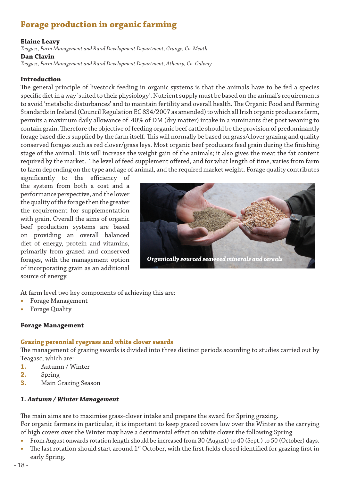# **Forage production in organic farming**

## **Elaine Leavy**

*Teagasc, Farm Management and Rural Development Department, Grange, Co. Meath*  **Dan Clavin**

*Teagasc, Farm Management and Rural Development Department, Athenry, Co. Galway* 

#### **Introduction**

The general principle of livestock feeding in organic systems is that the animals have to be fed a species specific diet in a way 'suited to their physiology'. Nutrient supply must be based on the animal's requirements to avoid 'metabolic disturbances' and to maintain fertility and overall health. The Organic Food and Farming Standards in Ireland (Council Regulation EC 834/2007 as amended) to which all Irish organic producers farm, permits a maximum daily allowance of 40% of DM (dry matter) intake in a ruminants diet post weaning to contain grain. Therefore the objective of feeding organic beef cattle should be the provision of predominantly forage based diets supplied by the farm itself. This will normally be based on grass/clover grazing and quality conserved forages such as red clover/grass leys. Most organic beef producers feed grain during the finishing stage of the animal. This will increase the weight gain of the animals; it also gives the meat the fat content required by the market. The level of feed supplement offered, and for what length of time, varies from farm to farm depending on the type and age of animal, and the required market weight. Forage quality contributes

significantly to the efficiency of the system from both a cost and a performance perspective, and the lower the quality of the forage then the greater the requirement for supplementation with grain. Overall the aims of organic beef production systems are based on providing an overall balanced diet of energy, protein and vitamins, primarily from grazed and conserved forages, with the management option of incorporating grain as an additional source of energy.



At farm level two key components of achieving this are:

- **•**  Forage Management
- **Forage Quality**

## **Forage Management**

## **Grazing perennial ryegrass and white clover swards**

The management of grazing swards is divided into three distinct periods according to studies carried out by Teagasc, which are:

- **1.** Autumn / Winter
- **2.** Spring
- **3.** Main Grazing Season

## *1. Autumn / Winter Management*

The main aims are to maximise grass-clover intake and prepare the sward for Spring grazing. For organic farmers in particular, it is important to keep grazed covers low over the Winter as the carrying of high covers over the Winter may have a detrimental effect on white clover the following Spring

- From August onwards rotation length should be increased from 30 (August) to 40 (Sept.) to 50 (October) days.
- The last rotation should start around 1<sup>st</sup> October, with the first fields closed identified for grazing first in early Spring.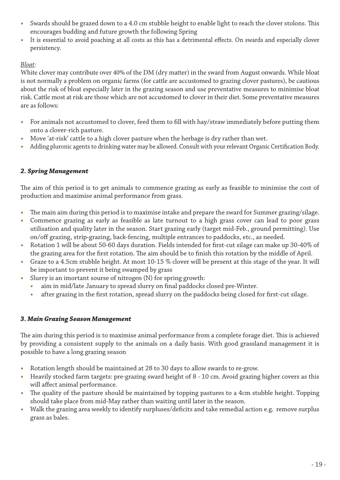- Swards should be grazed down to a 4.0 cm stubble height to enable light to reach the clover stolons. This encourages budding and future growth the following Spring
- It is essential to avoid poaching at all costs as this has a detrimental effects. On swards and especially clover persistency.

# *Bloat:*

White clover may contribute over 40% of the DM (dry matter) in the sward from August onwards. While bloat is not normally a problem on organic farms (for cattle are accustomed to grazing clover pastures), be cautious about the risk of bloat especially later in the grazing season and use preventative measures to minimise bloat risk. Cattle most at risk are those which are not accustomed to clover in their diet. Some preventative measures are as follows:

- **•**  For animals not accustomed to clover, feed them to fill with hay/straw immediately before putting them onto a clover-rich pasture.
- Move 'at-risk' cattle to a high clover pasture when the herbage is dry rather than wet.
- Adding pluronic agents to drinking water may be allowed. Consult with your relevant Organic Certification Body.

## *2. Spring Management*

The aim of this period is to get animals to commence grazing as early as feasible to minimise the cost of production and maximise animal performance from grass.

- The main aim during this period is to maximise intake and prepare the sward for Summer grazing/silage.
- Commence grazing as early as feasible as late turnout to a high grass cover can lead to poor grass utilisation and quality later in the season. Start grazing early (target mid-Feb., ground permitting). Use on/off grazing, strip-grazing, back-fencing, multiple entrances to paddocks, etc., as needed.
- **•**  Rotation 1 will be about 50-60 days duration. Fields intended for first-cut silage can make up 30-40% of the grazing area for the first rotation. The aim should be to finish this rotation by the middle of April.
- Graze to a 4.5cm stubble height. At most 10-15 % clover will be present at this stage of the year. It will be important to prevent it being swamped by grass
- Slurry is an imortant sourse of nitrogen (N) for spring growth:
	- aim in mid/late January to spread slurry on final paddocks closed pre-Winter.
	- after grazing in the first rotation, spread slurry on the paddocks being closed for first-cut silage.

# *3. Main Grazing Season Management*

The aim during this period is to maximise animal performance from a complete forage diet. This is achieved by providing a consistent supply to the animals on a daily basis. With good grassland management it is possible to have a long grazing season

- Rotation length should be maintained at 28 to 30 days to allow swards to re-grow.
- Heavily stocked farm targets: pre-grazing sward height of 8 10 cm. Avoid grazing higher covers as this will affect animal performance.
- The quality of the pasture should be maintained by topping pastures to a 4cm stubble height. Topping should take place from mid-May rather than waiting until later in the season.
- Walk the grazing area weekly to identify surpluses/deficits and take remedial action e.g. remove surplus grass as bales.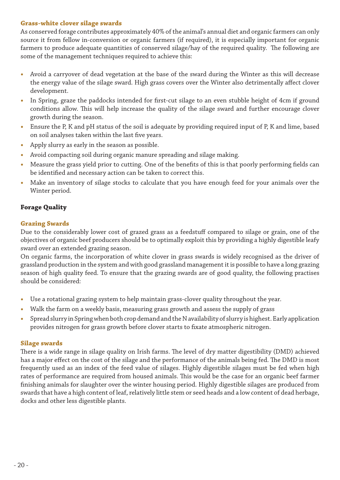## **Grass-white clover silage swards**

As conserved forage contributes approximately 40% of the animal's annual diet and organic farmers can only source it from fellow in-conversion or organic farmers (if required), it is especially important for organic farmers to produce adequate quantities of conserved silage/hay of the required quality. The following are some of the management techniques required to achieve this:

- **•**  Avoid a carryover of dead vegetation at the base of the sward during the Winter as this will decrease the energy value of the silage sward. High grass covers over the Winter also detrimentally affect clover development.
- In Spring, graze the paddocks intended for first-cut silage to an even stubble height of 4cm if ground conditions allow. This will help increase the quality of the silage sward and further encourage clover growth during the season.
- Ensure the P, K and pH status of the soil is adequate by providing required input of P, K and lime, based on soil analyses taken within the last five years.
- Apply slurry as early in the season as possible.
- Avoid compacting soil during organic manure spreading and silage making.
- Measure the grass yield prior to cutting. One of the benefits of this is that poorly performing fields can be identified and necessary action can be taken to correct this.
- Make an inventory of silage stocks to calculate that you have enough feed for your animals over the Winter period.

# **Forage Quality**

## **Grazing Swards**

Due to the considerably lower cost of grazed grass as a feedstuff compared to silage or grain, one of the objectives of organic beef producers should be to optimally exploit this by providing a highly digestible leafy sward over an extended grazing season.

On organic farms, the incorporation of white clover in grass swards is widely recognised as the driver of grassland production in the system and with good grassland management it is possible to have a long grazing season of high quality feed. To ensure that the grazing swards are of good quality, the following practises should be considered:

- Use a rotational grazing system to help maintain grass-clover quality throughout the year.
- Walk the farm on a weekly basis, measuring grass growth and assess the supply of grass
- Spread slurry in Spring when both crop demand and the N availability of slurry is highest. Early application provides nitrogen for grass growth before clover starts to fixate atmospheric nitrogen.

## **Silage swards**

There is a wide range in silage quality on Irish farms. The level of dry matter digestibility (DMD) achieved has a major effect on the cost of the silage and the performance of the animals being fed. The DMD is most frequently used as an index of the feed value of silages. Highly digestible silages must be fed when high rates of performance are required from housed animals. This would be the case for an organic beef farmer finishing animals for slaughter over the winter housing period. Highly digestible silages are produced from swards that have a high content of leaf, relatively little stem or seed heads and a low content of dead herbage, docks and other less digestible plants.